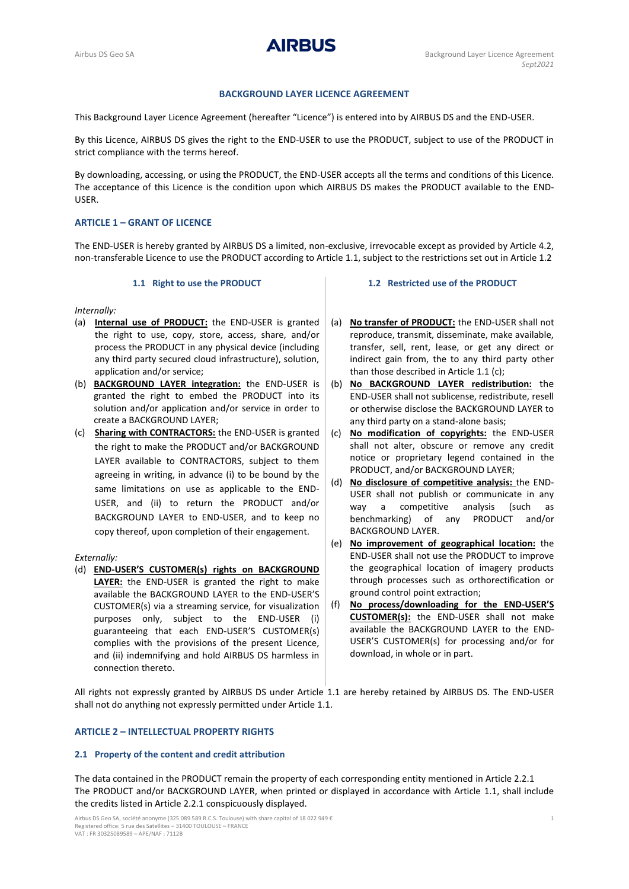**AIRBUS** 

# **BACKGROUND LAYER LICENCE AGREEMENT**

This Background Layer Licence Agreement (hereafter "Licence") is entered into by AIRBUS DS and the END-USER.

By this Licence, AIRBUS DS gives the right to the END-USER to use the PRODUCT, subject to use of the PRODUCT in strict compliance with the terms hereof.

By downloading, accessing, or using the PRODUCT, the END-USER accepts all the terms and conditions of this Licence. The acceptance of this Licence is the condition upon which AIRBUS DS makes the PRODUCT available to the END-USER.

# **ARTICLE 1 – GRANT OF LICENCE**

The END-USER is hereby granted by AIRBUS DS a limited, non-exclusive, irrevocable except as provided by Article 4.2, non-transferable Licence to use the PRODUCT according to Article [1.1,](#page-0-0) subject to the restrictions set out in Article 1.2

### **1.1 Right to use the PRODUCT**

<span id="page-0-0"></span>*Internally:*

- (a) **Internal use of PRODUCT:** the END-USER is granted the right to use, copy, store, access, share, and/or process the PRODUCT in any physical device (including any third party secured cloud infrastructure), solution, application and/or service;
- (b) **BACKGROUND LAYER integration:** the END-USER is granted the right to embed the PRODUCT into its solution and/or application and/or service in order to create a BACKGROUND LAYER;
- (c) **Sharing with CONTRACTORS:** the END-USER is granted the right to make the PRODUCT and/or BACKGROUND LAYER available to CONTRACTORS, subject to them agreeing in writing, in advance (i) to be bound by the same limitations on use as applicable to the END-USER, and (ii) to return the PRODUCT and/or BACKGROUND LAYER to END-USER, and to keep no copy thereof, upon completion of their engagement.

#### *Externally:*

(d) **END-USER'S CUSTOMER(s) rights on BACKGROUND**  LAYER: the END-USER is granted the right to make available the BACKGROUND LAYER to the END-USER'S CUSTOMER(s) via a streaming service, for visualization purposes only, subject to the END-USER (i) guaranteeing that each END-USER'S CUSTOMER(s) complies with the provisions of the present Licence, and (ii) indemnifying and hold AIRBUS DS harmless in connection thereto.

#### **1.2 Restricted use of the PRODUCT**

- (a) **No transfer of PRODUCT:** the END-USER shall not reproduce, transmit, disseminate, make available, transfer, sell, rent, lease, or get any direct or indirect gain from, the to any third party other than those described in Article 1.1 (c);
- (b) **No BACKGROUND LAYER redistribution:** the END-USER shall not sublicense, redistribute, resell or otherwise disclose the BACKGROUND LAYER to any third party on a stand-alone basis;
- (c) **No modification of copyrights:** the END-USER shall not alter, obscure or remove any credit notice or proprietary legend contained in the PRODUCT, and/or BACKGROUND LAYER;
- (d) **No disclosure of competitive analysis:** the END-USER shall not publish or communicate in any way a competitive analysis (such as benchmarking) of any PRODUCT and/or BACKGROUND LAYER.
- (e) **No improvement of geographical location:** the END-USER shall not use the PRODUCT to improve the geographical location of imagery products through processes such as orthorectification or ground control point extraction;
- (f) **No process/downloading for the END-USER'S CUSTOMER(s):** the END-USER shall not make available the BACKGROUND LAYER to the END-USER'S CUSTOMER(s) for processing and/or for download, in whole or in part.

All rights not expressly granted by AIRBUS DS under Article [1.1](#page-0-0) are hereby retained by AIRBUS DS. The END-USER shall not do anything not expressly permitted under Articl[e 1.1.](#page-0-0)

### **ARTICLE 2 – INTELLECTUAL PROPERTY RIGHTS**

### **2.1 Property of the content and credit attribution**

The data contained in the PRODUCT remain the property of each corresponding entity mentioned in Article 2.2.1 The PRODUCT and/or BACKGROUND LAYER, when printed or displayed in accordance with Article [1.1,](#page-0-0) shall include the credits listed in Article 2.2.1 conspicuously displayed.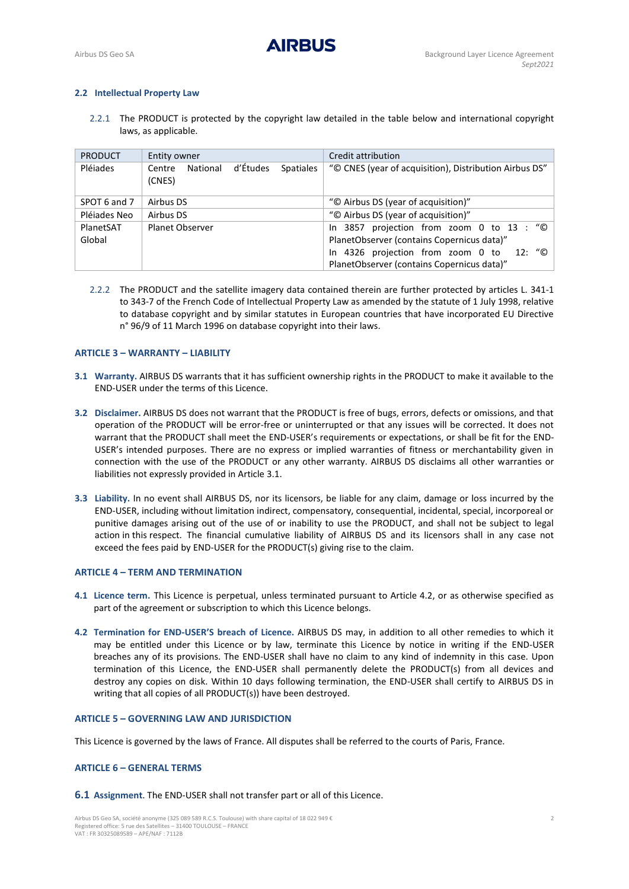# **2.2 Intellectual Property Law**

2.2.1 The PRODUCT is protected by the copyright law detailed in the table below and international copyright laws, as applicable.

| <b>PRODUCT</b> | Entity owner                                                 | Credit attribution                                     |
|----------------|--------------------------------------------------------------|--------------------------------------------------------|
| Pléiades       | d'Études<br>National<br><b>Spatiales</b><br>Centre<br>(CNES) | "© CNES (year of acquisition), Distribution Airbus DS" |
| SPOT 6 and 7   | Airbus DS                                                    | "© Airbus DS (year of acquisition)"                    |
| Pléjades Neo   | Airbus DS                                                    | "© Airbus DS (year of acquisition)"                    |
| PlanetSAT      | <b>Planet Observer</b>                                       | In 3857 projection from zoom 0 to 13 : "©              |
| Global         |                                                              | PlanetObserver (contains Copernicus data)"             |
|                |                                                              | In 4326 projection from zoom 0 to 12: "©               |
|                |                                                              | PlanetObserver (contains Copernicus data)"             |

2.2.2 The PRODUCT and the satellite imagery data contained therein are further protected by articles L. 341-1 to 343-7 of the French Code of Intellectual Property Law as amended by the statute of 1 July 1998, relative to database copyright and by similar statutes in European countries that have incorporated EU Directive n° 96/9 of 11 March 1996 on database copyright into their laws.

### **ARTICLE 3 – WARRANTY – LIABILITY**

- <span id="page-1-0"></span>**3.1 Warranty.** AIRBUS DS warrants that it has sufficient ownership rights in the PRODUCT to make it available to the END-USER under the terms of this Licence.
- **3.2 Disclaimer.** AIRBUS DS does not warrant that the PRODUCT is free of bugs, errors, defects or omissions, and that operation of the PRODUCT will be error-free or uninterrupted or that any issues will be corrected. It does not warrant that the PRODUCT shall meet the END-USER's requirements or expectations, or shall be fit for the END-USER's intended purposes. There are no express or implied warranties of fitness or merchantability given in connection with the use of the PRODUCT or any other warranty. AIRBUS DS disclaims all other warranties or liabilities not expressly provided in Articl[e 3.1.](#page-1-0)
- **3.3 Liability.** In no event shall AIRBUS DS, nor its licensors, be liable for any claim, damage or loss incurred by the END-USER, including without limitation indirect, compensatory, consequential, incidental, special, incorporeal or punitive damages arising out of the use of or inability to use the PRODUCT, and shall not be subject to legal action in this respect. The financial cumulative liability of AIRBUS DS and its licensors shall in any case not exceed the fees paid by END-USER for the PRODUCT(s) giving rise to the claim.

# **ARTICLE 4 – TERM AND TERMINATION**

- **4.1 Licence term.** This Licence is perpetual, unless terminated pursuant to Article 4.2, or as otherwise specified as part of the agreement or subscription to which this Licence belongs.
- **4.2 Termination for END-USER'S breach of Licence.** AIRBUS DS may, in addition to all other remedies to which it may be entitled under this Licence or by law, terminate this Licence by notice in writing if the END-USER breaches any of its provisions. The END-USER shall have no claim to any kind of indemnity in this case. Upon termination of this Licence, the END-USER shall permanently delete the PRODUCT(s) from all devices and destroy any copies on disk. Within 10 days following termination, the END-USER shall certify to AIRBUS DS in writing that all copies of all PRODUCT(s)) have been destroyed.

### **ARTICLE 5 – GOVERNING LAW AND JURISDICTION**

This Licence is governed by the laws of France. All disputes shall be referred to the courts of Paris, France.

# **ARTICLE 6 – GENERAL TERMS**

**6.1 Assignment**. The END-USER shall not transfer part or all of this Licence.

Airbus DS Geo SA, société anonyme (325 089 589 R.C.S. Toulouse) with share capital of 18 022 949 € 2 Registered office: 5 rue des Satellites – 31400 TOULOUSE – FRANCE VAT : FR 30325089589 – APE/NAF : 7112B